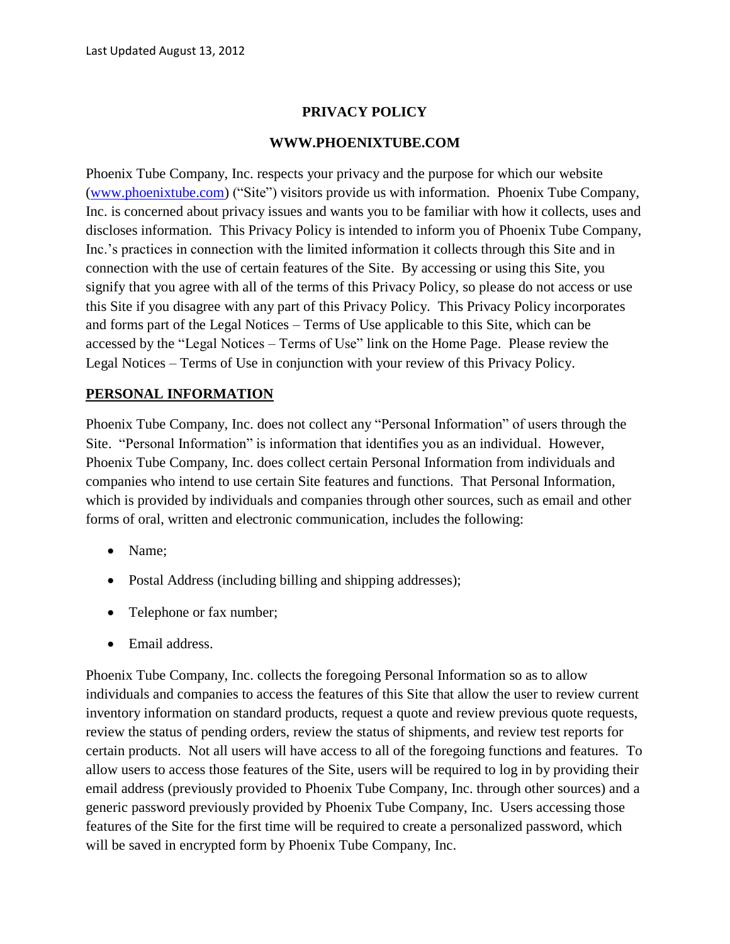## **PRIVACY POLICY**

#### **WWW.PHOENIXTUBE.COM**

Phoenix Tube Company, Inc. respects your privacy and the purpose for which our website [\(www.phoenixtube.com\)](http://www.phoenixtube.com/) ("Site") visitors provide us with information. Phoenix Tube Company, Inc. is concerned about privacy issues and wants you to be familiar with how it collects, uses and discloses information. This Privacy Policy is intended to inform you of Phoenix Tube Company, Inc.'s practices in connection with the limited information it collects through this Site and in connection with the use of certain features of the Site. By accessing or using this Site, you signify that you agree with all of the terms of this Privacy Policy, so please do not access or use this Site if you disagree with any part of this Privacy Policy. This Privacy Policy incorporates and forms part of the Legal Notices – Terms of Use applicable to this Site, which can be accessed by the "Legal Notices – Terms of Use" link on the Home Page. Please review the Legal Notices – Terms of Use in conjunction with your review of this Privacy Policy.

### **PERSONAL INFORMATION**

Phoenix Tube Company, Inc. does not collect any "Personal Information" of users through the Site. "Personal Information" is information that identifies you as an individual. However, Phoenix Tube Company, Inc. does collect certain Personal Information from individuals and companies who intend to use certain Site features and functions. That Personal Information, which is provided by individuals and companies through other sources, such as email and other forms of oral, written and electronic communication, includes the following:

- Name:
- Postal Address (including billing and shipping addresses);
- Telephone or fax number;
- Email address.

Phoenix Tube Company, Inc. collects the foregoing Personal Information so as to allow individuals and companies to access the features of this Site that allow the user to review current inventory information on standard products, request a quote and review previous quote requests, review the status of pending orders, review the status of shipments, and review test reports for certain products. Not all users will have access to all of the foregoing functions and features. To allow users to access those features of the Site, users will be required to log in by providing their email address (previously provided to Phoenix Tube Company, Inc. through other sources) and a generic password previously provided by Phoenix Tube Company, Inc. Users accessing those features of the Site for the first time will be required to create a personalized password, which will be saved in encrypted form by Phoenix Tube Company, Inc.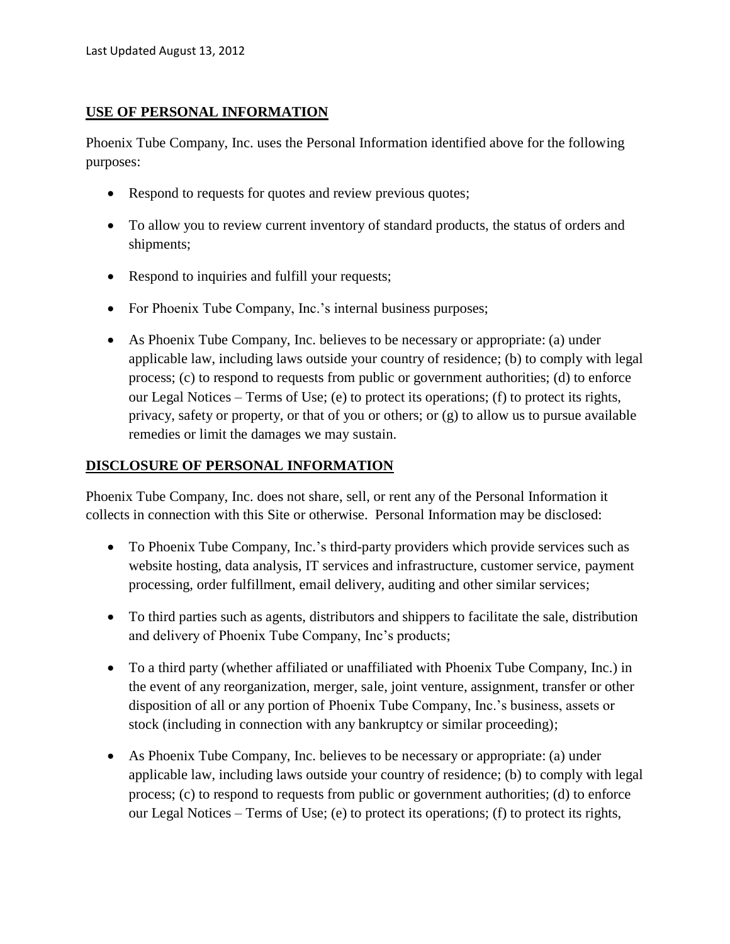### **USE OF PERSONAL INFORMATION**

Phoenix Tube Company, Inc. uses the Personal Information identified above for the following purposes:

- Respond to requests for quotes and review previous quotes;
- To allow you to review current inventory of standard products, the status of orders and shipments;
- Respond to inquiries and fulfill your requests;
- For Phoenix Tube Company, Inc.'s internal business purposes;
- As Phoenix Tube Company, Inc. believes to be necessary or appropriate: (a) under applicable law, including laws outside your country of residence; (b) to comply with legal process; (c) to respond to requests from public or government authorities; (d) to enforce our Legal Notices – Terms of Use; (e) to protect its operations; (f) to protect its rights, privacy, safety or property, or that of you or others; or (g) to allow us to pursue available remedies or limit the damages we may sustain.

## **DISCLOSURE OF PERSONAL INFORMATION**

Phoenix Tube Company, Inc. does not share, sell, or rent any of the Personal Information it collects in connection with this Site or otherwise. Personal Information may be disclosed:

- To Phoenix Tube Company, Inc.'s third-party providers which provide services such as website hosting, data analysis, IT services and infrastructure, customer service, payment processing, order fulfillment, email delivery, auditing and other similar services;
- To third parties such as agents, distributors and shippers to facilitate the sale, distribution and delivery of Phoenix Tube Company, Inc's products;
- To a third party (whether affiliated or unaffiliated with Phoenix Tube Company, Inc.) in the event of any reorganization, merger, sale, joint venture, assignment, transfer or other disposition of all or any portion of Phoenix Tube Company, Inc.'s business, assets or stock (including in connection with any bankruptcy or similar proceeding);
- As Phoenix Tube Company, Inc. believes to be necessary or appropriate: (a) under applicable law, including laws outside your country of residence; (b) to comply with legal process; (c) to respond to requests from public or government authorities; (d) to enforce our Legal Notices – Terms of Use; (e) to protect its operations; (f) to protect its rights,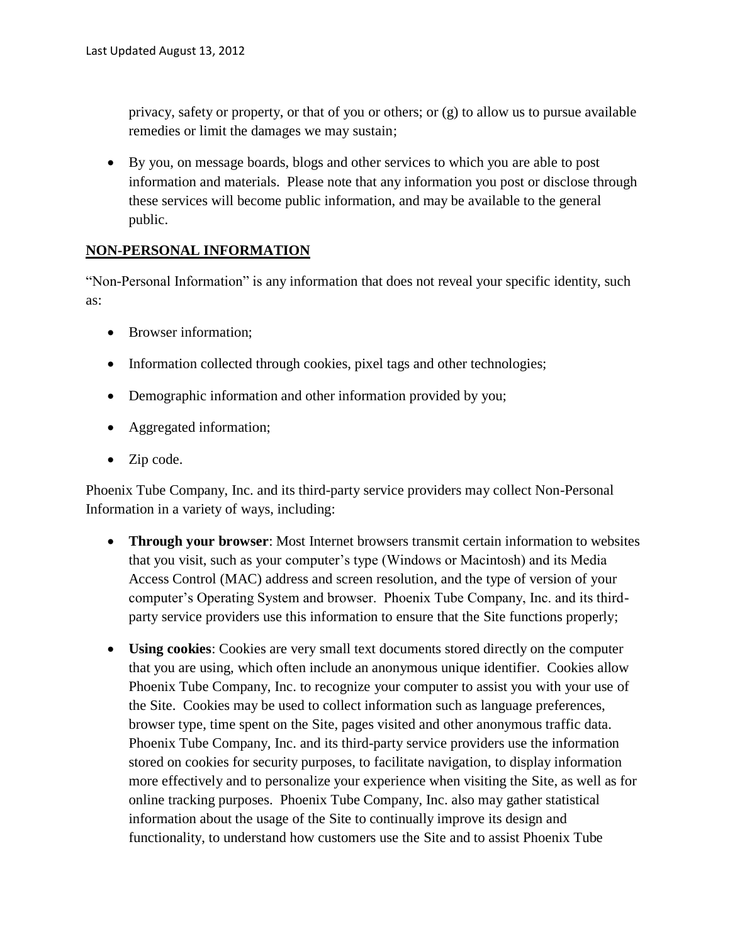privacy, safety or property, or that of you or others; or (g) to allow us to pursue available remedies or limit the damages we may sustain;

 By you, on message boards, blogs and other services to which you are able to post information and materials. Please note that any information you post or disclose through these services will become public information, and may be available to the general public.

#### **NON-PERSONAL INFORMATION**

"Non-Personal Information" is any information that does not reveal your specific identity, such as:

- Browser information;
- Information collected through cookies, pixel tags and other technologies;
- Demographic information and other information provided by you;
- Aggregated information;
- Zip code.

Phoenix Tube Company, Inc. and its third-party service providers may collect Non-Personal Information in a variety of ways, including:

- **Through your browser**: Most Internet browsers transmit certain information to websites that you visit, such as your computer's type (Windows or Macintosh) and its Media Access Control (MAC) address and screen resolution, and the type of version of your computer's Operating System and browser. Phoenix Tube Company, Inc. and its thirdparty service providers use this information to ensure that the Site functions properly;
- **Using cookies**: Cookies are very small text documents stored directly on the computer that you are using, which often include an anonymous unique identifier. Cookies allow Phoenix Tube Company, Inc. to recognize your computer to assist you with your use of the Site. Cookies may be used to collect information such as language preferences, browser type, time spent on the Site, pages visited and other anonymous traffic data. Phoenix Tube Company, Inc. and its third-party service providers use the information stored on cookies for security purposes, to facilitate navigation, to display information more effectively and to personalize your experience when visiting the Site, as well as for online tracking purposes. Phoenix Tube Company, Inc. also may gather statistical information about the usage of the Site to continually improve its design and functionality, to understand how customers use the Site and to assist Phoenix Tube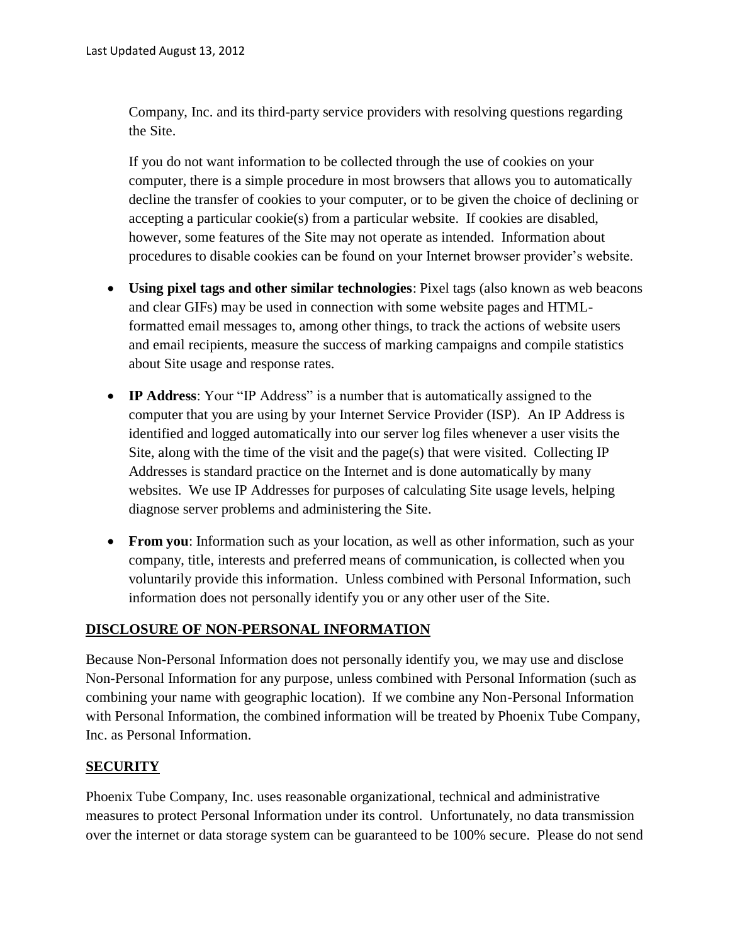Company, Inc. and its third-party service providers with resolving questions regarding the Site.

If you do not want information to be collected through the use of cookies on your computer, there is a simple procedure in most browsers that allows you to automatically decline the transfer of cookies to your computer, or to be given the choice of declining or accepting a particular cookie(s) from a particular website. If cookies are disabled, however, some features of the Site may not operate as intended. Information about procedures to disable cookies can be found on your Internet browser provider's website.

- **Using pixel tags and other similar technologies**: Pixel tags (also known as web beacons and clear GIFs) may be used in connection with some website pages and HTMLformatted email messages to, among other things, to track the actions of website users and email recipients, measure the success of marking campaigns and compile statistics about Site usage and response rates.
- **IP Address**: Your "IP Address" is a number that is automatically assigned to the computer that you are using by your Internet Service Provider (ISP). An IP Address is identified and logged automatically into our server log files whenever a user visits the Site, along with the time of the visit and the page(s) that were visited. Collecting IP Addresses is standard practice on the Internet and is done automatically by many websites. We use IP Addresses for purposes of calculating Site usage levels, helping diagnose server problems and administering the Site.
- **From you**: Information such as your location, as well as other information, such as your company, title, interests and preferred means of communication, is collected when you voluntarily provide this information. Unless combined with Personal Information, such information does not personally identify you or any other user of the Site.

### **DISCLOSURE OF NON-PERSONAL INFORMATION**

Because Non-Personal Information does not personally identify you, we may use and disclose Non-Personal Information for any purpose, unless combined with Personal Information (such as combining your name with geographic location). If we combine any Non-Personal Information with Personal Information, the combined information will be treated by Phoenix Tube Company, Inc. as Personal Information.

### **SECURITY**

Phoenix Tube Company, Inc. uses reasonable organizational, technical and administrative measures to protect Personal Information under its control. Unfortunately, no data transmission over the internet or data storage system can be guaranteed to be 100% secure. Please do not send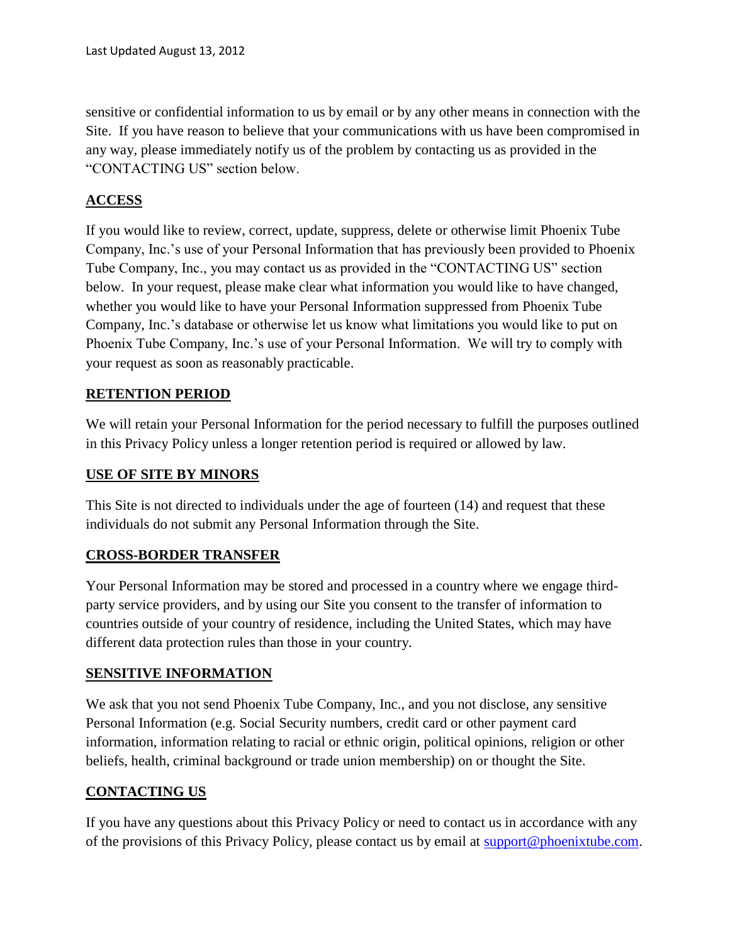sensitive or confidential information to us by email or by any other means in connection with the Site. If you have reason to believe that your communications with us have been compromised in any way, please immediately notify us of the problem by contacting us as provided in the "CONTACTING US" section below.

## **ACCESS**

If you would like to review, correct, update, suppress, delete or otherwise limit Phoenix Tube Company, Inc.'s use of your Personal Information that has previously been provided to Phoenix Tube Company, Inc., you may contact us as provided in the "CONTACTING US" section below. In your request, please make clear what information you would like to have changed, whether you would like to have your Personal Information suppressed from Phoenix Tube Company, Inc.'s database or otherwise let us know what limitations you would like to put on Phoenix Tube Company, Inc.'s use of your Personal Information. We will try to comply with your request as soon as reasonably practicable.

### **RETENTION PERIOD**

We will retain your Personal Information for the period necessary to fulfill the purposes outlined in this Privacy Policy unless a longer retention period is required or allowed by law.

### **USE OF SITE BY MINORS**

This Site is not directed to individuals under the age of fourteen (14) and request that these individuals do not submit any Personal Information through the Site.

### **CROSS-BORDER TRANSFER**

Your Personal Information may be stored and processed in a country where we engage thirdparty service providers, and by using our Site you consent to the transfer of information to countries outside of your country of residence, including the United States, which may have different data protection rules than those in your country.

### **SENSITIVE INFORMATION**

We ask that you not send Phoenix Tube Company, Inc., and you not disclose, any sensitive Personal Information (e.g. Social Security numbers, credit card or other payment card information, information relating to racial or ethnic origin, political opinions, religion or other beliefs, health, criminal background or trade union membership) on or thought the Site.

### **CONTACTING US**

If you have any questions about this Privacy Policy or need to contact us in accordance with any of the provisions of this Privacy Policy, please contact us by email at [support@phoenixtube.com.](mailto:support@phoenixtube.com)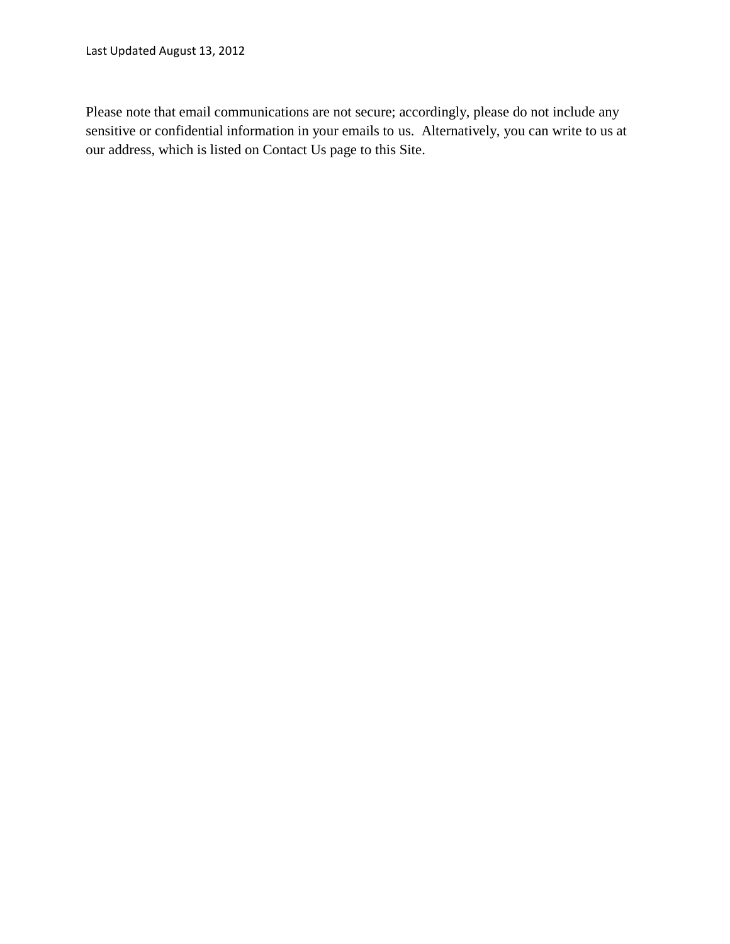Last Updated August 13, 2012

Please note that email communications are not secure; accordingly, please do not include any sensitive or confidential information in your emails to us. Alternatively, you can write to us at our address, which is listed on Contact Us page to this Site.